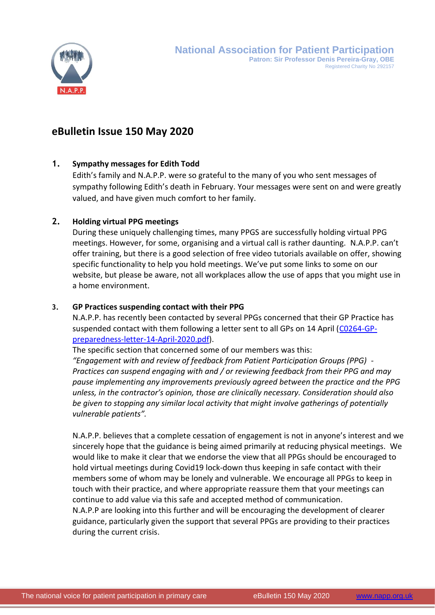

# **eBulletin Issue 150 May 2020**

# **1. Sympathy messages for Edith Todd**

Edith's family and N.A.P.P. were so grateful to the many of you who sent messages of sympathy following Edith's death in February. Your messages were sent on and were greatly valued, and have given much comfort to her family.

# **2. Holding virtual PPG meetings**

During these uniquely challenging times, many PPGS are successfully holding virtual PPG meetings. However, for some, organising and a virtual call is rather daunting. N.A.P.P. can't offer training, but there is a good selection of free video tutorials available on offer, showing specific functionality to help you hold meetings. We've put some links to some on our website, but please be aware, not all workplaces allow the use of apps that you might use in a home environment.

# **3. GP Practices suspending contact with their PPG**

N.A.P.P. has recently been contacted by several PPGs concerned that their GP Practice has suspended contact with them following a letter sent to all GPs on 14 April [\(C0264-GP](https://napp.org.uk/membersonly/C0264-GP-preparedness-letter-14-April-2020.pdf)[preparedness-letter-14-April-2020.pdf\)](https://napp.org.uk/membersonly/C0264-GP-preparedness-letter-14-April-2020.pdf).

The specific section that concerned some of our members was this:

*"Engagement with and review of feedback from Patient Participation Groups (PPG) - Practices can suspend engaging with and / or reviewing feedback from their PPG and may pause implementing any improvements previously agreed between the practice and the PPG unless, in the contractor's opinion, those are clinically necessary. Consideration should also be given to stopping any similar local activity that might involve gatherings of potentially vulnerable patients".*

N.A.P.P. believes that a complete cessation of engagement is not in anyone's interest and we sincerely hope that the guidance is being aimed primarily at reducing physical meetings. We would like to make it clear that we endorse the view that all PPGs should be encouraged to hold virtual meetings during Covid19 lock-down thus keeping in safe contact with their members some of whom may be lonely and vulnerable. We encourage all PPGs to keep in touch with their practice, and where appropriate reassure them that your meetings can continue to add value via this safe and accepted method of communication. N.A.P.P are looking into this further and will be encouraging the development of clearer guidance, particularly given the support that several PPGs are providing to their practices during the current crisis.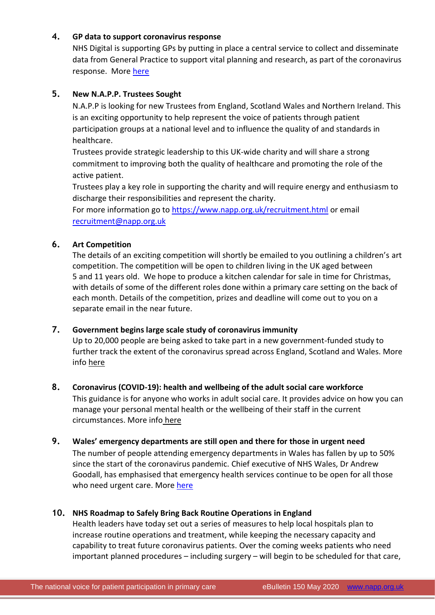# **4. [GP data to support coronavirus response](http://www.networks.nhs.uk/networks/news/gp-data-to-support-coronavirus-response)**

NHS Digital is supporting GPs by putting in place a central service to collect and disseminate data from General Practice to support vital planning and research, as part of the coronavirus response. More [here](https://www.networks.nhs.uk/networks/news/gp-data-to-support-coronavirus-response)

# **5. New N.A.P.P. Trustees Sought**

N.A.P.P is looking for new Trustees from England, Scotland Wales and Northern Ireland. This is an exciting opportunity to help represent the voice of patients through patient participation groups at a national level and to influence the quality of and standards in healthcare.

Trustees provide strategic leadership to this UK-wide charity and will share a strong commitment to improving both the quality of healthcare and promoting the role of the active patient.

Trustees play a key role in supporting the charity and will require energy and enthusiasm to discharge their responsibilities and represent the charity.

For more information go to <https://www.napp.org.uk/recruitment.html> or email [recruitment@napp.org.uk](mailto:recruitment@napp.org.uk)

# **6. Art Competition**

The details of an exciting competition will shortly be emailed to you outlining a children's art competition. The competition will be open to children living in the UK aged between 5 and 11 years old. We hope to produce a kitchen calendar for sale in time for Christmas, with details of some of the different roles done within a primary care setting on the back of each month. Details of the competition, prizes and deadline will come out to you on a separate email in the near future.

#### **7. Government begins large scale study of coronavirus immunity**

Up to 20,000 people are being asked to take part in a new government-funded study to further track the extent of the coronavirus spread across England, Scotland and Wales. More info [here](http://www.networks.nhs.uk/networks/news/government-begins-large-scale-study-of-coronavirus-immunity)

#### **8. Coronavirus (COVID-19): health and wellbeing of the adult social care workforce**

This guidance is for anyone who works in adult social care. It provides advice on how you can manage your personal mental health or the wellbeing of their staff in the current circumstances. More info [here](https://www.gov.uk/government/publications/coronavirus-covid-19-health-and-wellbeing-of-the-adult-social-care-workforce)

#### **9. Wales' emergency departments are still open and there for those in urgent need**

The number of people attending emergency departments in Wales has fallen by up to 50% since the start of the coronavirus pandemic. Chief executive of NHS Wales, Dr Andrew Goodall, has emphasised that emergency health services continue to be open for all those who need urgent care. More [here](https://gov.wales/wales-emergency-departments-are-still-open-and-here-those-urgent-need)

#### **10. NHS Roadmap to Safely Bring Back Routine Operations in England**

Health leaders have today set out a series of measures to help local hospitals plan to increase routine operations and treatment, while keeping the necessary capacity and capability to treat future coronavirus patients. Over the coming weeks patients who need important planned procedures – including surgery – will begin to be scheduled for that care,